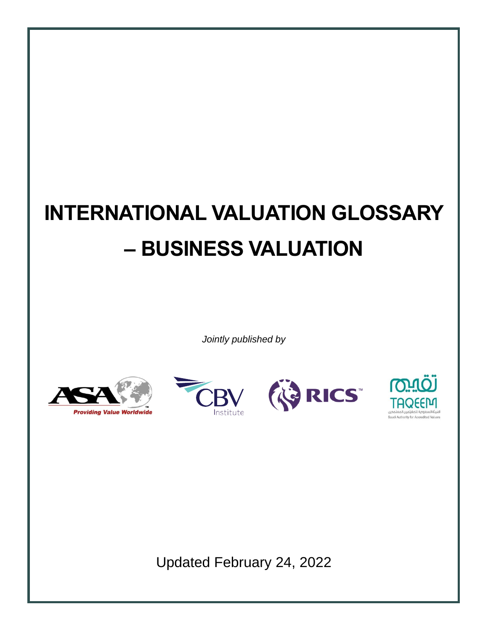# **INTERNATIONAL VALUATION GLOSSARY – BUSINESS VALUATION**

*Jointly published by*









Updated February 24, 2022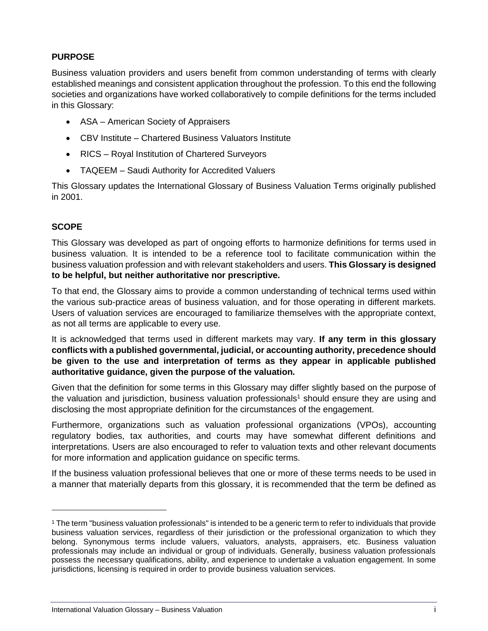# **PURPOSE**

Business valuation providers and users benefit from common understanding of terms with clearly established meanings and consistent application throughout the profession. To this end the following societies and organizations have worked collaboratively to compile definitions for the terms included in this Glossary:

- ASA American Society of Appraisers
- CBV Institute Chartered Business Valuators Institute
- RICS Royal Institution of Chartered Surveyors
- TAQEEM Saudi Authority for Accredited Valuers

This Glossary updates the International Glossary of Business Valuation Terms originally published in 2001.

# **SCOPE**

This Glossary was developed as part of ongoing efforts to harmonize definitions for terms used in business valuation. It is intended to be a reference tool to facilitate communication within the business valuation profession and with relevant stakeholders and users. **This Glossary is designed to be helpful, but neither authoritative nor prescriptive.**

To that end, the Glossary aims to provide a common understanding of technical terms used within the various sub-practice areas of business valuation, and for those operating in different markets. Users of valuation services are encouraged to familiarize themselves with the appropriate context, as not all terms are applicable to every use.

It is acknowledged that terms used in different markets may vary. **If any term in this glossary conflicts with a published governmental, judicial, or accounting authority, precedence should be given to the use and interpretation of terms as they appear in applicable published authoritative guidance, given the purpose of the valuation.**

Given that the definition for some terms in this Glossary may differ slightly based on the purpose of the valuation and jurisdiction, business valuation professionals<sup>1</sup> should ensure they are using and disclosing the most appropriate definition for the circumstances of the engagement.

Furthermore, organizations such as valuation professional organizations (VPOs), accounting regulatory bodies, tax authorities, and courts may have somewhat different definitions and interpretations. Users are also encouraged to refer to valuation texts and other relevant documents for more information and application guidance on specific terms.

If the business valuation professional believes that one or more of these terms needs to be used in a manner that materially departs from this glossary, it is recommended that the term be defined as

<sup>1</sup> The term "business valuation professionals" is intended to be a generic term to refer to individuals that provide business valuation services, regardless of their jurisdiction or the professional organization to which they belong. Synonymous terms include valuers, valuators, analysts, appraisers, etc. Business valuation professionals may include an individual or group of individuals. Generally, business valuation professionals possess the necessary qualifications, ability, and experience to undertake a valuation engagement. In some jurisdictions, licensing is required in order to provide business valuation services.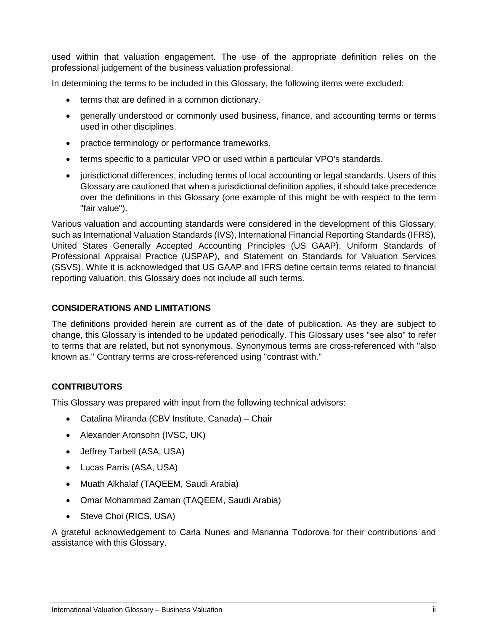used within that valuation engagement. The use of the appropriate definition relies on the professional judgement of the business valuation professional.

In determining the terms to be included in this Glossary, the following items were excluded:

- terms that are defined in a common dictionary.
- generally understood or commonly used business, finance, and accounting terms or terms used in other disciplines.
- practice terminology or performance frameworks.
- terms specific to a particular VPO or used within a particular VPO's standards.
- jurisdictional differences, including terms of local accounting or legal standards. Users of this Glossary are cautioned that when a jurisdictional definition applies, it should take precedence over the definitions in this Glossary (one example of this might be with respect to the term "fair value").

Various valuation and accounting standards were considered in the development of this Glossary, such as International Valuation Standards (IVS), International Financial Reporting Standards (IFRS), United States Generally Accepted Accounting Principles (US GAAP), Uniform Standards of Professional Appraisal Practice (USPAP), and Statement on Standards for Valuation Services (SSVS). While it is acknowledged that US GAAP and IFRS define certain terms related to financial reporting valuation, this Glossary does not include all such terms.

#### **CONSIDERATIONS AND LIMITATIONS**

The definitions provided herein are current as of the date of publication. As they are subject to change, this Glossary is intended to be updated periodically. This Glossary uses "see also" to refer to terms that are related, but not synonymous. Synonymous terms are cross-referenced with "also known as." Contrary terms are cross-referenced using "contrast with."

#### **CONTRIBUTORS**

This Glossary was prepared with input from the following technical advisors:

- Catalina Miranda (CBV Institute, Canada) Chair
- Alexander Aronsohn (IVSC, UK)
- Jeffrey Tarbell (ASA, USA)
- Lucas Parris (ASA, USA)
- Muath Alkhalaf (TAQEEM, Saudi Arabia)
- Omar Mohammad Zaman (TAQEEM, Saudi Arabia)
- Steve Choi (RICS, USA)

A grateful acknowledgement to Carla Nunes and Marianna Todorova for their contributions and assistance with this Glossary.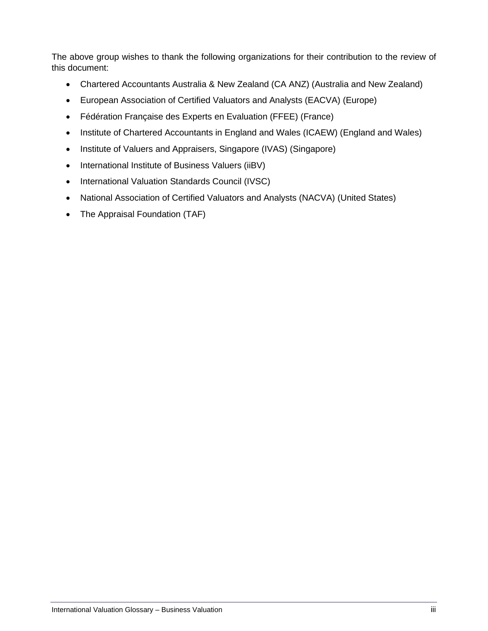The above group wishes to thank the following organizations for their contribution to the review of this document:

- Chartered Accountants Australia & New Zealand (CA ANZ) (Australia and New Zealand)
- European Association of Certified Valuators and Analysts (EACVA) (Europe)
- Fédération Française des Experts en Evaluation (FFEE) (France)
- Institute of Chartered Accountants in England and Wales (ICAEW) (England and Wales)
- Institute of Valuers and Appraisers, Singapore (IVAS) (Singapore)
- International Institute of Business Valuers (iiBV)
- International Valuation Standards Council (IVSC)
- National Association of Certified Valuators and Analysts (NACVA) (United States)
- The Appraisal Foundation (TAF)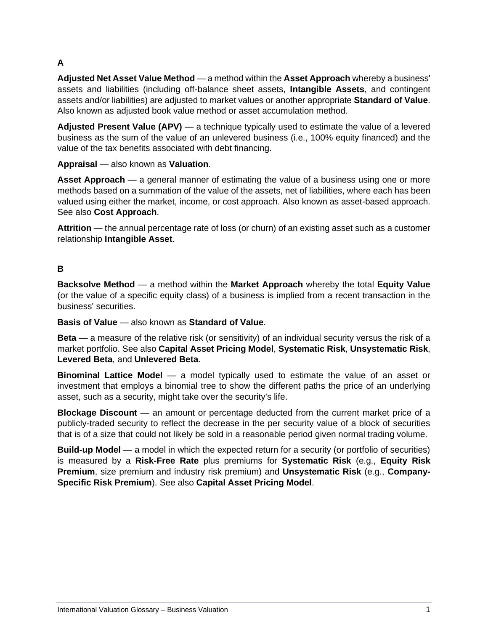# **A**

**Adjusted Net Asset Value Method** — a method within the **Asset Approach** whereby a business' assets and liabilities (including off-balance sheet assets, **Intangible Assets**, and contingent assets and/or liabilities) are adjusted to market values or another appropriate **Standard of Value**. Also known as adjusted book value method or asset accumulation method.

**Adjusted Present Value (APV)** — a technique typically used to estimate the value of a levered business as the sum of the value of an unlevered business (i.e., 100% equity financed) and the value of the tax benefits associated with debt financing.

**Appraisal** — also known as **Valuation**.

**Asset Approach** — a general manner of estimating the value of a business using one or more methods based on a summation of the value of the assets, net of liabilities, where each has been valued using either the market, income, or cost approach. Also known as asset-based approach. See also **Cost Approach**.

**Attrition** — the annual percentage rate of loss (or churn) of an existing asset such as a customer relationship **Intangible Asset**.

## **B**

**Backsolve Method** — a method within the **Market Approach** whereby the total **Equity Value**  (or the value of a specific equity class) of a business is implied from a recent transaction in the business' securities.

**Basis of Value** — also known as **Standard of Value**.

**Beta** — a measure of the relative risk (or sensitivity) of an individual security versus the risk of a market portfolio. See also **Capital Asset Pricing Model**, **Systematic Risk**, **Unsystematic Risk**, **Levered Beta**, and **Unlevered Beta**.

**Binominal Lattice Model** — a model typically used to estimate the value of an asset or investment that employs a binomial tree to show the different paths the price of an underlying asset, such as a security, might take over the security's life.

**Blockage Discount** — an amount or percentage deducted from the current market price of a publicly-traded security to reflect the decrease in the per security value of a block of securities that is of a size that could not likely be sold in a reasonable period given normal trading volume.

**Build-up Model** — a model in which the expected return for a security (or portfolio of securities) is measured by a **Risk-Free Rate** plus premiums for **Systematic Risk** (e.g., **Equity Risk Premium**, size premium and industry risk premium) and **Unsystematic Risk** (e.g., **Company-Specific Risk Premium**). See also **Capital Asset Pricing Model**.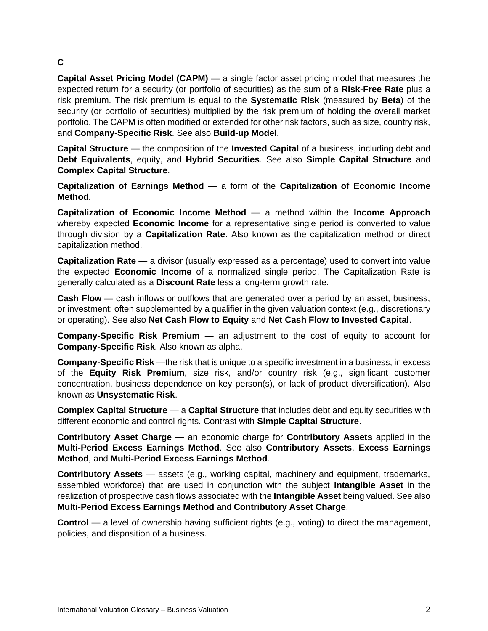# **C**

**Capital Asset Pricing Model (CAPM)** — a single factor asset pricing model that measures the expected return for a security (or portfolio of securities) as the sum of a **Risk-Free Rate** plus a risk premium. The risk premium is equal to the **Systematic Risk** (measured by **Beta**) of the security (or portfolio of securities) multiplied by the risk premium of holding the overall market portfolio. The CAPM is often modified or extended for other risk factors, such as size, country risk, and **Company-Specific Risk**. See also **Build-up Model**.

**Capital Structure** — the composition of the **Invested Capital** of a business, including debt and **Debt Equivalents**, equity, and **Hybrid Securities**. See also **Simple Capital Structure** and **Complex Capital Structure**.

**Capitalization of Earnings Method** — a form of the **Capitalization of Economic Income Method**.

**Capitalization of Economic Income Method** — a method within the **Income Approach**  whereby expected **Economic Income** for a representative single period is converted to value through division by a **Capitalization Rate**. Also known as the capitalization method or direct capitalization method.

**Capitalization Rate** — a divisor (usually expressed as a percentage) used to convert into value the expected **Economic Income** of a normalized single period. The Capitalization Rate is generally calculated as a **Discount Rate** less a long-term growth rate.

**Cash Flow** — cash inflows or outflows that are generated over a period by an asset, business, or investment; often supplemented by a qualifier in the given valuation context (e.g., discretionary or operating). See also **Net Cash Flow to Equity** and **Net Cash Flow to Invested Capital**.

**Company-Specific Risk Premium** — an adjustment to the cost of equity to account for **Company-Specific Risk**. Also known as alpha.

**Company-Specific Risk** —the risk that is unique to a specific investment in a business, in excess of the **Equity Risk Premium**, size risk, and/or country risk (e.g., significant customer concentration, business dependence on key person(s), or lack of product diversification). Also known as **Unsystematic Risk**.

**Complex Capital Structure** — a **Capital Structure** that includes debt and equity securities with different economic and control rights. Contrast with **Simple Capital Structure**.

**Contributory Asset Charge** — an economic charge for **Contributory Assets** applied in the **Multi-Period Excess Earnings Method**. See also **Contributory Assets**, **Excess Earnings Method**, and **Multi-Period Excess Earnings Method**.

**Contributory Assets** — assets (e.g., working capital, machinery and equipment, trademarks, assembled workforce) that are used in conjunction with the subject **Intangible Asset** in the realization of prospective cash flows associated with the **Intangible Asset** being valued. See also **Multi-Period Excess Earnings Method** and **Contributory Asset Charge**.

**Control** — a level of ownership having sufficient rights (e.g., voting) to direct the management, policies, and disposition of a business.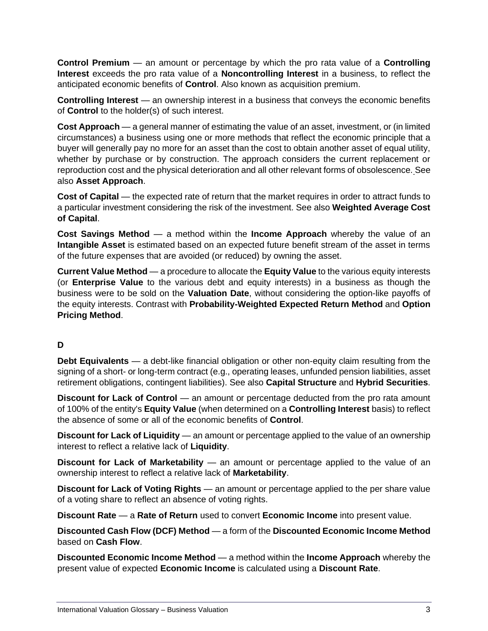**Control Premium** — an amount or percentage by which the pro rata value of a **Controlling Interest** exceeds the pro rata value of a **Noncontrolling Interest** in a business, to reflect the anticipated economic benefits of **Control**. Also known as acquisition premium.

**Controlling Interest** — an ownership interest in a business that conveys the economic benefits of **Control** to the holder(s) of such interest.

**Cost Approach** — a general manner of estimating the value of an asset, investment, or (in limited circumstances) a business using one or more methods that reflect the economic principle that a buyer will generally pay no more for an asset than the cost to obtain another asset of equal utility, whether by purchase or by construction. The approach considers the current replacement or reproduction cost and the physical deterioration and all other relevant forms of obsolescence. See also **Asset Approach**.

**Cost of Capital** — the expected rate of return that the market requires in order to attract funds to a particular investment considering the risk of the investment. See also **Weighted Average Cost of Capital**.

**Cost Savings Method** — a method within the **Income Approach** whereby the value of an **Intangible Asset** is estimated based on an expected future benefit stream of the asset in terms of the future expenses that are avoided (or reduced) by owning the asset.

**Current Value Method** — a procedure to allocate the **Equity Value** to the various equity interests (or **Enterprise Value** to the various debt and equity interests) in a business as though the business were to be sold on the **Valuation Date**, without considering the option-like payoffs of the equity interests. Contrast with **Probability-Weighted Expected Return Method** and **Option Pricing Method**.

#### **D**

**Debt Equivalents** — a debt-like financial obligation or other non-equity claim resulting from the signing of a short- or long-term contract (e.g., operating leases, unfunded pension liabilities, asset retirement obligations, contingent liabilities). See also **Capital Structure** and **Hybrid Securities**.

**Discount for Lack of Control** — an amount or percentage deducted from the pro rata amount of 100% of the entity's **Equity Value** (when determined on a **Controlling Interest** basis) to reflect the absence of some or all of the economic benefits of **Control**.

**Discount for Lack of Liquidity** — an amount or percentage applied to the value of an ownership interest to reflect a relative lack of **Liquidity**.

**Discount for Lack of Marketability** — an amount or percentage applied to the value of an ownership interest to reflect a relative lack of **Marketability**.

**Discount for Lack of Voting Rights** — an amount or percentage applied to the per share value of a voting share to reflect an absence of voting rights.

**Discount Rate** — a **Rate of Return** used to convert **Economic Income** into present value.

**Discounted Cash Flow (DCF) Method** — a form of the **Discounted Economic Income Method**  based on **Cash Flow**.

**Discounted Economic Income Method** — a method within the **Income Approach** whereby the present value of expected **Economic Income** is calculated using a **Discount Rate**.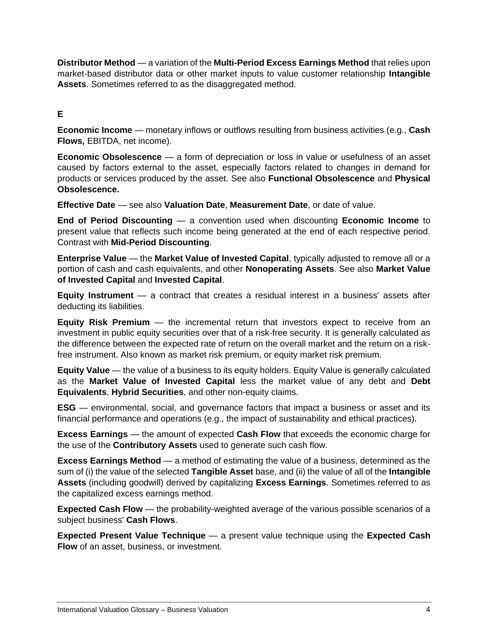**Distributor Method** — a variation of the **Multi-Period Excess Earnings Method** that relies upon market-based distributor data or other market inputs to value customer relationship **Intangible Assets**. Sometimes referred to as the disaggregated method.

#### **E**

**Economic Income** — monetary inflows or outflows resulting from business activities (e.g., **Cash Flows,** EBITDA, net income).

**Economic Obsolescence** — a form of depreciation or loss in value or usefulness of an asset caused by factors external to the asset, especially factors related to changes in demand for products or services produced by the asset. See also **Functional Obsolescence** and **Physical Obsolescence.**

**Effective Date** — see also **Valuation Date**, **Measurement Date**, or date of value.

**End of Period Discounting** — a convention used when discounting **Economic Income** to present value that reflects such income being generated at the end of each respective period. Contrast with **Mid-Period Discounting**.

**Enterprise Value** — the **Market Value of Invested Capital**, typically adjusted to remove all or a portion of cash and cash equivalents, and other **Nonoperating Assets**. See also **Market Value of Invested Capital** and **Invested Capital**.

**Equity Instrument** — a contract that creates a residual interest in a business' assets after deducting its liabilities.

**Equity Risk Premium** — the incremental return that investors expect to receive from an investment in public equity securities over that of a risk-free security. It is generally calculated as the difference between the expected rate of return on the overall market and the return on a riskfree instrument. Also known as market risk premium, or equity market risk premium.

**Equity Value** — the value of a business to its equity holders. Equity Value is generally calculated as the **Market Value of Invested Capital** less the market value of any debt and **Debt Equivalents**, **Hybrid Securities**, and other non-equity claims.

**ESG** — environmental, social, and governance factors that impact a business or asset and its financial performance and operations (e.g., the impact of sustainability and ethical practices).

**Excess Earnings** — the amount of expected **Cash Flow** that exceeds the economic charge for the use of the **Contributory Assets** used to generate such cash flow.

**Excess Earnings Method** — a method of estimating the value of a business, determined as the sum of (i) the value of the selected **Tangible Asset** base, and (ii) the value of all of the **Intangible Assets** (including goodwill) derived by capitalizing **Excess Earnings**. Sometimes referred to as the capitalized excess earnings method.

**Expected Cash Flow** — the probability-weighted average of the various possible scenarios of a subject business' **Cash Flows**.

**Expected Present Value Technique** — a present value technique using the **Expected Cash Flow** of an asset, business, or investment.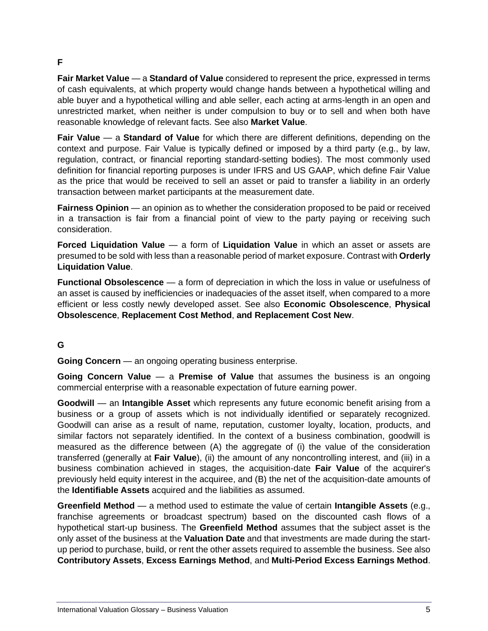#### **F**

**Fair Market Value** — a **Standard of Value** considered to represent the price, expressed in terms of cash equivalents, at which property would change hands between a hypothetical willing and able buyer and a hypothetical willing and able seller, each acting at arms-length in an open and unrestricted market, when neither is under compulsion to buy or to sell and when both have reasonable knowledge of relevant facts. See also **Market Value**.

**Fair Value** — a **Standard of Value** for which there are different definitions, depending on the context and purpose. Fair Value is typically defined or imposed by a third party (e.g., by law, regulation, contract, or financial reporting standard-setting bodies). The most commonly used definition for financial reporting purposes is under IFRS and US GAAP, which define Fair Value as the price that would be received to sell an asset or paid to transfer a liability in an orderly transaction between market participants at the measurement date.

**Fairness Opinion** — an opinion as to whether the consideration proposed to be paid or received in a transaction is fair from a financial point of view to the party paying or receiving such consideration.

**Forced Liquidation Value** — a form of **Liquidation Value** in which an asset or assets are presumed to be sold with less than a reasonable period of market exposure. Contrast with **Orderly Liquidation Value**.

**Functional Obsolescence** — a form of depreciation in which the loss in value or usefulness of an asset is caused by inefficiencies or inadequacies of the asset itself, when compared to a more efficient or less costly newly developed asset. See also **Economic Obsolescence**, **Physical Obsolescence**, **Replacement Cost Method**, **and Replacement Cost New**.

#### **G**

**Going Concern** — an ongoing operating business enterprise.

**Going Concern Value** — a **Premise of Value** that assumes the business is an ongoing commercial enterprise with a reasonable expectation of future earning power.

**Goodwill** — an **Intangible Asset** which represents any future economic benefit arising from a business or a group of assets which is not individually identified or separately recognized. Goodwill can arise as a result of name, reputation, customer loyalty, location, products, and similar factors not separately identified. In the context of a business combination, goodwill is measured as the difference between (A) the aggregate of (i) the value of the consideration transferred (generally at **Fair Value**), (ii) the amount of any noncontrolling interest, and (iii) in a business combination achieved in stages, the acquisition-date **Fair Value** of the acquirer's previously held equity interest in the acquiree, and (B) the net of the acquisition-date amounts of the **Identifiable Assets** acquired and the liabilities as assumed.

**Greenfield Method** — a method used to estimate the value of certain **Intangible Assets** (e.g., franchise agreements or broadcast spectrum) based on the discounted cash flows of a hypothetical start-up business. The **Greenfield Method** assumes that the subject asset is the only asset of the business at the **Valuation Date** and that investments are made during the startup period to purchase, build, or rent the other assets required to assemble the business. See also **Contributory Assets**, **Excess Earnings Method**, and **Multi-Period Excess Earnings Method**.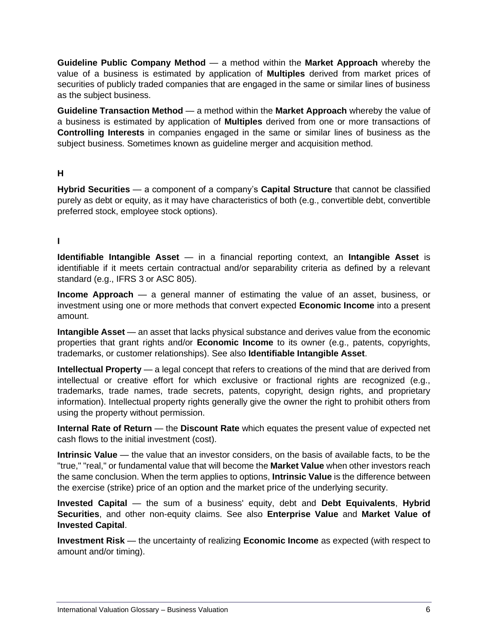**Guideline Public Company Method** — a method within the **Market Approach** whereby the value of a business is estimated by application of **Multiples** derived from market prices of securities of publicly traded companies that are engaged in the same or similar lines of business as the subject business.

**Guideline Transaction Method** — a method within the **Market Approach** whereby the value of a business is estimated by application of **Multiples** derived from one or more transactions of **Controlling Interests** in companies engaged in the same or similar lines of business as the subject business. Sometimes known as guideline merger and acquisition method.

## **H**

**Hybrid Securities** — a component of a company's **Capital Structure** that cannot be classified purely as debt or equity, as it may have characteristics of both (e.g., convertible debt, convertible preferred stock, employee stock options).

# **I**

**Identifiable Intangible Asset** — in a financial reporting context, an **Intangible Asset** is identifiable if it meets certain contractual and/or separability criteria as defined by a relevant standard (e.g., IFRS 3 or ASC 805).

**Income Approach** — a general manner of estimating the value of an asset, business, or investment using one or more methods that convert expected **Economic Income** into a present amount.

**Intangible Asset** — an asset that lacks physical substance and derives value from the economic properties that grant rights and/or **Economic Income** to its owner (e.g., patents, copyrights, trademarks, or customer relationships). See also **Identifiable Intangible Asset**.

**Intellectual Property** — a legal concept that refers to creations of the mind that are derived from intellectual or creative effort for which exclusive or fractional rights are recognized (e.g., trademarks, trade names, trade secrets, patents, copyright, design rights, and proprietary information). Intellectual property rights generally give the owner the right to prohibit others from using the property without permission.

**Internal Rate of Return** — the **Discount Rate** which equates the present value of expected net cash flows to the initial investment (cost).

**Intrinsic Value** — the value that an investor considers, on the basis of available facts, to be the "true," "real," or fundamental value that will become the **Market Value** when other investors reach the same conclusion. When the term applies to options, **Intrinsic Value** is the difference between the exercise (strike) price of an option and the market price of the underlying security.

**Invested Capital** — the sum of a business' equity, debt and **Debt Equivalents**, **Hybrid Securities**, and other non-equity claims. See also **Enterprise Value** and **Market Value of Invested Capital**.

**Investment Risk** — the uncertainty of realizing **Economic Income** as expected (with respect to amount and/or timing).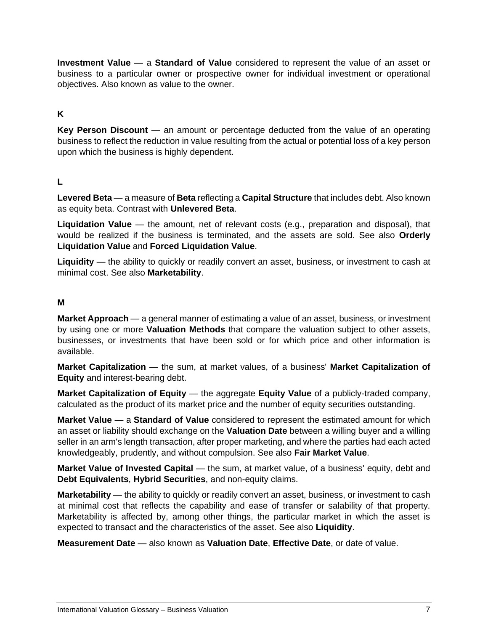**Investment Value** — a **Standard of Value** considered to represent the value of an asset or business to a particular owner or prospective owner for individual investment or operational objectives. Also known as value to the owner.

## **K**

**Key Person Discount** — an amount or percentage deducted from the value of an operating business to reflect the reduction in value resulting from the actual or potential loss of a key person upon which the business is highly dependent.

#### **L**

**Levered Beta** — a measure of **Beta** reflecting a **Capital Structure** that includes debt. Also known as equity beta. Contrast with **Unlevered Beta**.

**Liquidation Value** — the amount, net of relevant costs (e.g., preparation and disposal), that would be realized if the business is terminated, and the assets are sold. See also **Orderly Liquidation Value** and **Forced Liquidation Value**.

**Liquidity** — the ability to quickly or readily convert an asset, business, or investment to cash at minimal cost. See also **Marketability**.

#### **M**

**Market Approach** — a general manner of estimating a value of an asset, business, or investment by using one or more **Valuation Methods** that compare the valuation subject to other assets, businesses, or investments that have been sold or for which price and other information is available.

**Market Capitalization** — the sum, at market values, of a business' **Market Capitalization of Equity** and interest-bearing debt.

**Market Capitalization of Equity** — the aggregate **Equity Value** of a publicly-traded company, calculated as the product of its market price and the number of equity securities outstanding.

**Market Value** — a **Standard of Value** considered to represent the estimated amount for which an asset or liability should exchange on the **Valuation Date** between a willing buyer and a willing seller in an arm's length transaction, after proper marketing, and where the parties had each acted knowledgeably, prudently, and without compulsion. See also **Fair Market Value**.

**Market Value of Invested Capital** — the sum, at market value, of a business' equity, debt and **Debt Equivalents**, **Hybrid Securities**, and non-equity claims.

**Marketability** — the ability to quickly or readily convert an asset, business, or investment to cash at minimal cost that reflects the capability and ease of transfer or salability of that property. Marketability is affected by, among other things, the particular market in which the asset is expected to transact and the characteristics of the asset. See also **Liquidity**.

**Measurement Date** — also known as **Valuation Date**, **Effective Date**, or date of value.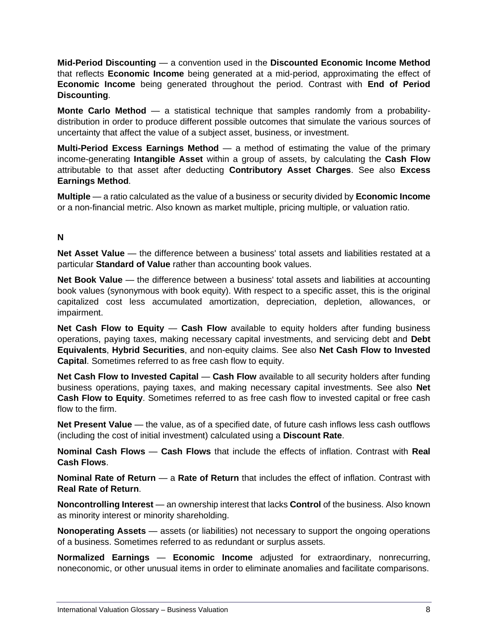**Mid-Period Discounting** — a convention used in the **Discounted Economic Income Method**  that reflects **Economic Income** being generated at a mid-period, approximating the effect of **Economic Income** being generated throughout the period. Contrast with **End of Period Discounting**.

**Monte Carlo Method** — a statistical technique that samples randomly from a probabilitydistribution in order to produce different possible outcomes that simulate the various sources of uncertainty that affect the value of a subject asset, business, or investment.

**Multi-Period Excess Earnings Method** — a method of estimating the value of the primary income-generating **Intangible Asset** within a group of assets, by calculating the **Cash Flow** attributable to that asset after deducting **Contributory Asset Charges**. See also **Excess Earnings Method**.

**Multiple** — a ratio calculated as the value of a business or security divided by **Economic Income** or a non-financial metric. Also known as market multiple, pricing multiple, or valuation ratio.

#### **N**

**Net Asset Value** — the difference between a business' total assets and liabilities restated at a particular **Standard of Value** rather than accounting book values.

**Net Book Value** — the difference between a business' total assets and liabilities at accounting book values (synonymous with book equity). With respect to a specific asset, this is the original capitalized cost less accumulated amortization, depreciation, depletion, allowances, or impairment.

**Net Cash Flow to Equity** — **Cash Flow** available to equity holders after funding business operations, paying taxes, making necessary capital investments, and servicing debt and **Debt Equivalents**, **Hybrid Securities**, and non-equity claims. See also **Net Cash Flow to Invested Capital**. Sometimes referred to as free cash flow to equity.

**Net Cash Flow to Invested Capital** — **Cash Flow** available to all security holders after funding business operations, paying taxes, and making necessary capital investments. See also **Net Cash Flow to Equity**. Sometimes referred to as free cash flow to invested capital or free cash flow to the firm.

**Net Present Value** — the value, as of a specified date, of future cash inflows less cash outflows (including the cost of initial investment) calculated using a **Discount Rate**.

**Nominal Cash Flows** — **Cash Flows** that include the effects of inflation. Contrast with **Real Cash Flows**.

**Nominal Rate of Return** — a **Rate of Return** that includes the effect of inflation. Contrast with **Real Rate of Return**.

**Noncontrolling Interest** — an ownership interest that lacks **Control** of the business. Also known as minority interest or minority shareholding.

**Nonoperating Assets** — assets (or liabilities) not necessary to support the ongoing operations of a business. Sometimes referred to as redundant or surplus assets.

**Normalized Earnings** — **Economic Income** adjusted for extraordinary, nonrecurring, noneconomic, or other unusual items in order to eliminate anomalies and facilitate comparisons.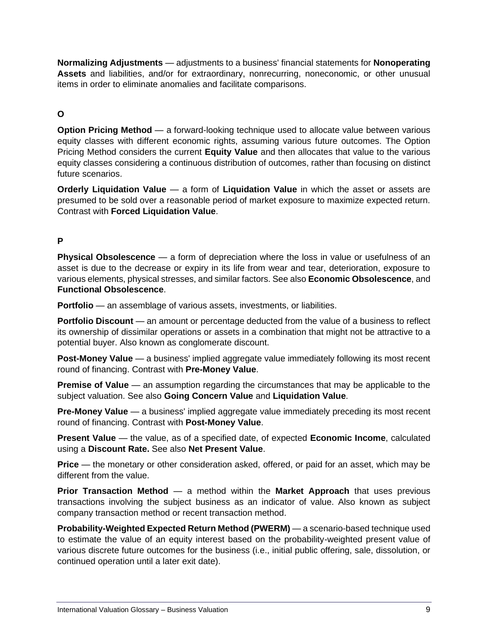**Normalizing Adjustments** — adjustments to a business' financial statements for **Nonoperating Assets** and liabilities, and/or for extraordinary, nonrecurring, noneconomic, or other unusual items in order to eliminate anomalies and facilitate comparisons.

# **O**

**Option Pricing Method** — a forward-looking technique used to allocate value between various equity classes with different economic rights, assuming various future outcomes. The Option Pricing Method considers the current **Equity Value** and then allocates that value to the various equity classes considering a continuous distribution of outcomes, rather than focusing on distinct future scenarios.

**Orderly Liquidation Value** — a form of **Liquidation Value** in which the asset or assets are presumed to be sold over a reasonable period of market exposure to maximize expected return. Contrast with **Forced Liquidation Value**.

# **P**

**Physical Obsolescence** — a form of depreciation where the loss in value or usefulness of an asset is due to the decrease or expiry in its life from wear and tear, deterioration, exposure to various elements, physical stresses, and similar factors. See also **Economic Obsolescence**, and **Functional Obsolescence**.

**Portfolio** — an assemblage of various assets, investments, or liabilities.

**Portfolio Discount** — an amount or percentage deducted from the value of a business to reflect its ownership of dissimilar operations or assets in a combination that might not be attractive to a potential buyer. Also known as conglomerate discount.

**Post-Money Value** — a business' implied aggregate value immediately following its most recent round of financing. Contrast with **Pre-Money Value**.

**Premise of Value** — an assumption regarding the circumstances that may be applicable to the subject valuation. See also **Going Concern Value** and **Liquidation Value**.

**Pre-Money Value** — a business' implied aggregate value immediately preceding its most recent round of financing. Contrast with **Post-Money Value**.

**Present Value** — the value, as of a specified date, of expected **Economic Income**, calculated using a **Discount Rate.** See also **Net Present Value**.

**Price** — the monetary or other consideration asked, offered, or paid for an asset, which may be different from the value.

**Prior Transaction Method** — a method within the **Market Approach** that uses previous transactions involving the subject business as an indicator of value. Also known as subject company transaction method or recent transaction method.

**Probability-Weighted Expected Return Method (PWERM)** — a scenario-based technique used to estimate the value of an equity interest based on the probability-weighted present value of various discrete future outcomes for the business (i.e., initial public offering, sale, dissolution, or continued operation until a later exit date).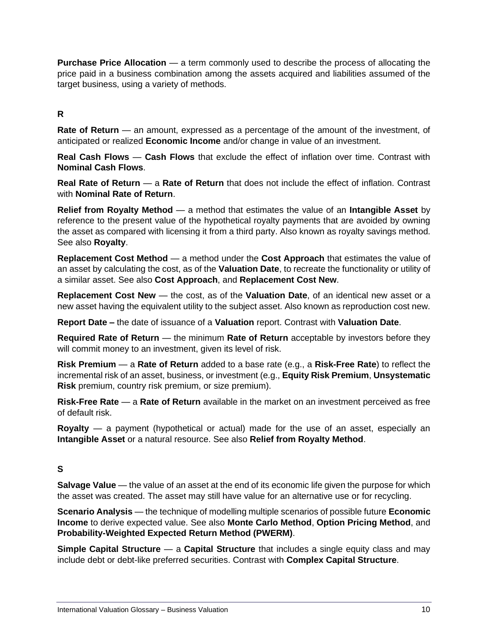**Purchase Price Allocation** — a term commonly used to describe the process of allocating the price paid in a business combination among the assets acquired and liabilities assumed of the target business, using a variety of methods.

# **R**

**Rate of Return** — an amount, expressed as a percentage of the amount of the investment, of anticipated or realized **Economic Income** and/or change in value of an investment.

**Real Cash Flows** — **Cash Flows** that exclude the effect of inflation over time. Contrast with **Nominal Cash Flows**.

**Real Rate of Return** — a **Rate of Return** that does not include the effect of inflation. Contrast with **Nominal Rate of Return**.

**Relief from Royalty Method** — a method that estimates the value of an **Intangible Asset** by reference to the present value of the hypothetical royalty payments that are avoided by owning the asset as compared with licensing it from a third party. Also known as royalty savings method. See also **Royalty**.

**Replacement Cost Method** — a method under the **Cost Approach** that estimates the value of an asset by calculating the cost, as of the **Valuation Date**, to recreate the functionality or utility of a similar asset. See also **Cost Approach**, and **Replacement Cost New**.

**Replacement Cost New** — the cost, as of the **Valuation Date**, of an identical new asset or a new asset having the equivalent utility to the subject asset. Also known as reproduction cost new.

**Report Date –** the date of issuance of a **Valuation** report. Contrast with **Valuation Date**.

**Required Rate of Return** — the minimum **Rate of Return** acceptable by investors before they will commit money to an investment, given its level of risk.

**Risk Premium** — a **Rate of Return** added to a base rate (e.g., a **Risk-Free Rate**) to reflect the incremental risk of an asset, business, or investment (e.g., **Equity Risk Premium**, **Unsystematic Risk** premium, country risk premium, or size premium).

**Risk-Free Rate** — a **Rate of Return** available in the market on an investment perceived as free of default risk.

**Royalty** — a payment (hypothetical or actual) made for the use of an asset, especially an **Intangible Asset** or a natural resource. See also **Relief from Royalty Method**.

#### **S**

**Salvage Value** — the value of an asset at the end of its economic life given the purpose for which the asset was created. The asset may still have value for an alternative use or for recycling.

**Scenario Analysis** — the technique of modelling multiple scenarios of possible future **Economic Income** to derive expected value. See also **Monte Carlo Method**, **Option Pricing Method**, and **Probability-Weighted Expected Return Method (PWERM)**.

**Simple Capital Structure** — a **Capital Structure** that includes a single equity class and may include debt or debt-like preferred securities. Contrast with **Complex Capital Structure**.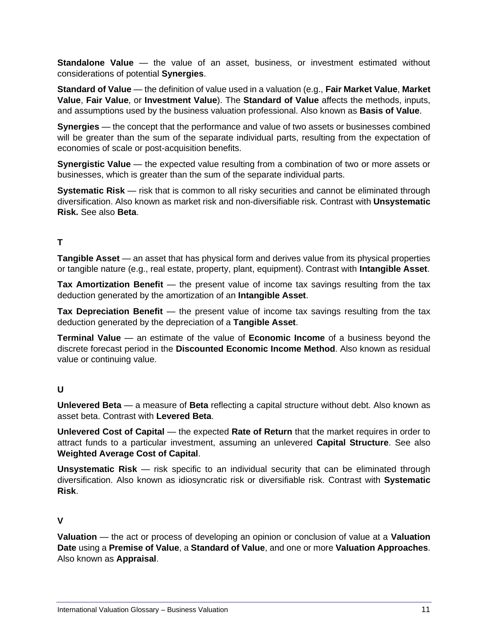**Standalone Value** — the value of an asset, business, or investment estimated without considerations of potential **Synergies**.

**Standard of Value** — the definition of value used in a valuation (e.g., **Fair Market Value**, **Market Value**, **Fair Value**, or **Investment Value**). The **Standard of Value** affects the methods, inputs, and assumptions used by the business valuation professional. Also known as **Basis of Value**.

**Synergies** — the concept that the performance and value of two assets or businesses combined will be greater than the sum of the separate individual parts, resulting from the expectation of economies of scale or post-acquisition benefits.

**Synergistic Value** — the expected value resulting from a combination of two or more assets or businesses, which is greater than the sum of the separate individual parts.

**Systematic Risk** — risk that is common to all risky securities and cannot be eliminated through diversification. Also known as market risk and non-diversifiable risk. Contrast with **Unsystematic Risk.** See also **Beta**.

## **T**

**Tangible Asset** — an asset that has physical form and derives value from its physical properties or tangible nature (e.g., real estate, property, plant, equipment). Contrast with **Intangible Asset**.

**Tax Amortization Benefit** — the present value of income tax savings resulting from the tax deduction generated by the amortization of an **Intangible Asset**.

**Tax Depreciation Benefit** — the present value of income tax savings resulting from the tax deduction generated by the depreciation of a **Tangible Asset**.

**Terminal Value** — an estimate of the value of **Economic Income** of a business beyond the discrete forecast period in the **Discounted Economic Income Method**. Also known as residual value or continuing value.

# **U**

**Unlevered Beta** — a measure of **Beta** reflecting a capital structure without debt. Also known as asset beta. Contrast with **Levered Beta**.

**Unlevered Cost of Capital** — the expected **Rate of Return** that the market requires in order to attract funds to a particular investment, assuming an unlevered **Capital Structure**. See also **Weighted Average Cost of Capital**.

**Unsystematic Risk** — risk specific to an individual security that can be eliminated through diversification. Also known as idiosyncratic risk or diversifiable risk. Contrast with **Systematic Risk**.

# **V**

**Valuation** — the act or process of developing an opinion or conclusion of value at a **Valuation Date** using a **Premise of Value**, a **Standard of Value**, and one or more **Valuation Approaches**. Also known as **Appraisal**.